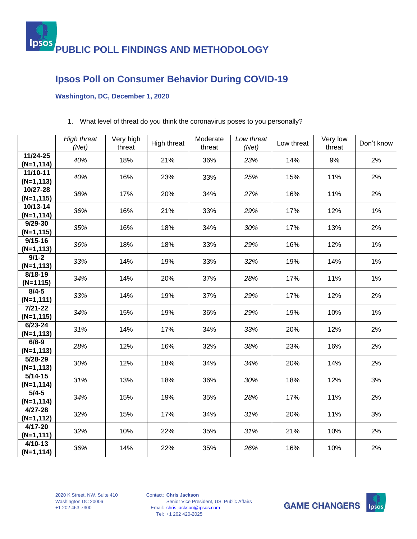# **Ipsos Poll on Consumer Behavior During COVID-19**

# **Washington, DC, December 1, 2020**

## 1. What level of threat do you think the coronavirus poses to you personally?

|                             | High threat<br>(Net) | Very high<br>threat | High threat | Moderate<br>threat | Low threat<br>(Net) | Low threat | Very low<br>threat | Don't know |
|-----------------------------|----------------------|---------------------|-------------|--------------------|---------------------|------------|--------------------|------------|
| 11/24-25<br>$(N=1, 114)$    | 40%                  | 18%                 | 21%         | 36%                | 23%                 | 14%        | 9%                 | 2%         |
| 11/10-11<br>$(N=1, 113)$    | 40%                  | 16%                 | 23%         | 33%                | 25%                 | 15%        | 11%                | 2%         |
| 10/27-28<br>$(N=1, 115)$    | 38%                  | 17%                 | 20%         | 34%                | 27%                 | 16%        | 11%                | 2%         |
| 10/13-14<br>$(N=1, 114)$    | 36%                  | 16%                 | 21%         | 33%                | 29%                 | 17%        | 12%                | 1%         |
| $9/29 - 30$<br>$(N=1, 115)$ | 35%                  | 16%                 | 18%         | 34%                | 30%                 | 17%        | 13%                | 2%         |
| $9/15 - 16$<br>$(N=1, 113)$ | 36%                  | 18%                 | 18%         | 33%                | 29%                 | 16%        | 12%                | 1%         |
| $9/1 - 2$<br>$(N=1, 113)$   | 33%                  | 14%                 | 19%         | 33%                | 32%                 | 19%        | 14%                | 1%         |
| $8/18 - 19$<br>$(N=1115)$   | 34%                  | 14%                 | 20%         | 37%                | 28%                 | 17%        | 11%                | 1%         |
| $8/4 - 5$<br>$(N=1, 111)$   | 33%                  | 14%                 | 19%         | 37%                | 29%                 | 17%        | 12%                | 2%         |
| $7/21 - 22$<br>$(N=1, 115)$ | 34%                  | 15%                 | 19%         | 36%                | 29%                 | 19%        | 10%                | 1%         |
| $6/23 - 24$<br>$(N=1, 113)$ | 31%                  | 14%                 | 17%         | 34%                | 33%                 | 20%        | 12%                | 2%         |
| $6/8 - 9$<br>$(N=1, 113)$   | 28%                  | 12%                 | 16%         | 32%                | 38%                 | 23%        | 16%                | 2%         |
| $5/28-29$<br>$(N=1, 113)$   | 30%                  | 12%                 | 18%         | 34%                | 34%                 | 20%        | 14%                | 2%         |
| $5/14 - 15$<br>$(N=1, 114)$ | 31%                  | 13%                 | 18%         | 36%                | 30%                 | 18%        | 12%                | 3%         |
| $5/4 - 5$<br>$(N=1, 114)$   | 34%                  | 15%                 | 19%         | 35%                | 28%                 | 17%        | 11%                | 2%         |
| $4/27 - 28$<br>$(N=1, 112)$ | 32%                  | 15%                 | 17%         | 34%                | 31%                 | 20%        | 11%                | 3%         |
| 4/17-20<br>$(N=1, 111)$     | 32%                  | 10%                 | 22%         | 35%                | 31%                 | 21%        | 10%                | 2%         |
| $4/10 - 13$<br>$(N=1, 114)$ | 36%                  | 14%                 | 22%         | 35%                | 26%                 | 16%        | 10%                | 2%         |

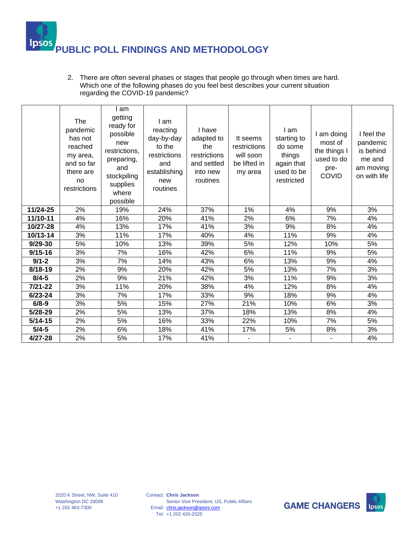

2. There are often several phases or stages that people go through when times are hard. Which one of the following phases do you feel best describes your current situation regarding the COVID-19 pandemic?

|             | The<br>pandemic<br>has not<br>reached<br>my area,<br>and so far<br>there are<br>no<br>restrictions | am<br>getting<br>ready for<br>possible<br>new<br>restrictions,<br>preparing,<br>and<br>stockpiling<br>supplies<br>where<br>possible | I am<br>reacting<br>day-by-day<br>to the<br>restrictions<br>and<br>establishing<br>new<br>routines | I have<br>adapted to<br>the<br>restrictions<br>and settled<br>into new<br>routines | It seems<br>restrictions<br>will soon<br>be lifted in<br>my area | I am<br>starting to<br>do some<br>things<br>again that<br>used to be<br>restricted | I am doing<br>most of<br>the things I<br>used to do<br>pre-<br><b>COVID</b> | I feel the<br>pandemic<br>is behind<br>me and<br>am moving<br>on with life |
|-------------|----------------------------------------------------------------------------------------------------|-------------------------------------------------------------------------------------------------------------------------------------|----------------------------------------------------------------------------------------------------|------------------------------------------------------------------------------------|------------------------------------------------------------------|------------------------------------------------------------------------------------|-----------------------------------------------------------------------------|----------------------------------------------------------------------------|
| 11/24-25    | 2%                                                                                                 | 19%                                                                                                                                 | 24%                                                                                                | 37%                                                                                | 1%                                                               | 4%                                                                                 | 9%                                                                          | 3%                                                                         |
| 11/10-11    | 4%                                                                                                 | 16%                                                                                                                                 | 20%                                                                                                | 41%                                                                                | 2%                                                               | 6%                                                                                 | 7%                                                                          | 4%                                                                         |
| 10/27-28    | 4%                                                                                                 | 13%                                                                                                                                 | 17%                                                                                                | 41%                                                                                | 3%                                                               | 9%                                                                                 | 8%                                                                          | 4%                                                                         |
| 10/13-14    | 3%                                                                                                 | 11%                                                                                                                                 | 17%                                                                                                | 40%                                                                                | 4%                                                               | 11%                                                                                | 9%                                                                          | 4%                                                                         |
| $9/29 - 30$ | 5%                                                                                                 | 10%                                                                                                                                 | 13%                                                                                                | 39%                                                                                | 5%                                                               | 12%                                                                                | 10%                                                                         | $5%$                                                                       |
| $9/15 - 16$ | 3%                                                                                                 | 7%                                                                                                                                  | 16%                                                                                                | 42%                                                                                | 6%                                                               | 11%                                                                                | 9%                                                                          | 5%                                                                         |
| $9/1 - 2$   | 3%                                                                                                 | 7%                                                                                                                                  | 14%                                                                                                | 43%                                                                                | 6%                                                               | 13%                                                                                | 9%                                                                          | 4%                                                                         |
| $8/18 - 19$ | 2%                                                                                                 | 9%                                                                                                                                  | 20%                                                                                                | 42%                                                                                | 5%                                                               | 13%                                                                                | 7%                                                                          | 3%                                                                         |
| $8/4 - 5$   | 2%                                                                                                 | 9%                                                                                                                                  | 21%                                                                                                | 42%                                                                                | 3%                                                               | 11%                                                                                | 9%                                                                          | 3%                                                                         |
| $7/21 - 22$ | 3%                                                                                                 | 11%                                                                                                                                 | 20%                                                                                                | 38%                                                                                | 4%                                                               | 12%                                                                                | 8%                                                                          | 4%                                                                         |
| $6/23 - 24$ | 3%                                                                                                 | 7%                                                                                                                                  | 17%                                                                                                | 33%                                                                                | 9%                                                               | 18%                                                                                | 9%                                                                          | 4%                                                                         |
| $6/8 - 9$   | 3%                                                                                                 | $5%$                                                                                                                                | 15%                                                                                                | 27%                                                                                | 21%                                                              | 10%                                                                                | 6%                                                                          | 3%                                                                         |
| $5/28-29$   | 2%                                                                                                 | 5%                                                                                                                                  | 13%                                                                                                | 37%                                                                                | 18%                                                              | 13%                                                                                | 8%                                                                          | 4%                                                                         |
| $5/14-15$   | 2%                                                                                                 | 5%                                                                                                                                  | 16%                                                                                                | 33%                                                                                | 22%                                                              | 10%                                                                                | 7%                                                                          | 5%                                                                         |
| $5/4 - 5$   | 2%                                                                                                 | 6%                                                                                                                                  | 18%                                                                                                | 41%                                                                                | 17%                                                              | 5%                                                                                 | 8%                                                                          | 3%                                                                         |
| $4/27 - 28$ | 2%                                                                                                 | 5%                                                                                                                                  | 17%                                                                                                | 41%                                                                                |                                                                  | $\overline{\phantom{m}}$                                                           |                                                                             | 4%                                                                         |

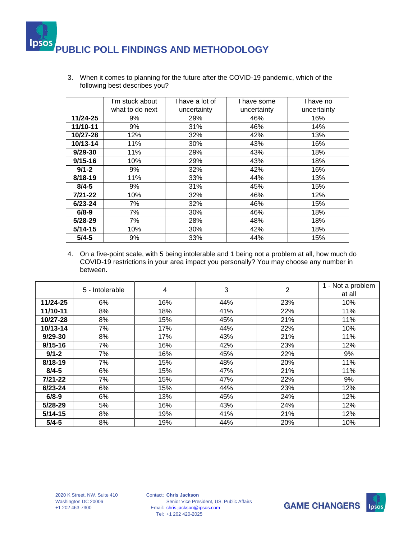

3. When it comes to planning for the future after the COVID-19 pandemic, which of the following best describes you?

|             | I'm stuck about | I have a lot of | I have some | I have no   |
|-------------|-----------------|-----------------|-------------|-------------|
|             | what to do next | uncertainty     | uncertainty | uncertainty |
| 11/24-25    | 9%              | 29%             | 46%         | 16%         |
| 11/10-11    | 9%              | 31%             | 46%         | 14%         |
| 10/27-28    | 12%             | 32%             | 42%         | 13%         |
| 10/13-14    | 11%             | 30%             | 43%         | 16%         |
| $9/29-30$   | 11%             | 29%             | 43%         | 18%         |
| $9/15 - 16$ | 10%             | 29%             | 43%         | 18%         |
| $9/1 - 2$   | 9%              | 32%             | 42%         | 16%         |
| $8/18 - 19$ | 11%             | 33%             | 44%         | 13%         |
| $8/4 - 5$   | 9%              | 31%             | 45%         | 15%         |
| $7/21 - 22$ | 10%             | 32%             | 46%         | 12%         |
| $6/23 - 24$ | 7%              | 32%             | 46%         | 15%         |
| $6/8 - 9$   | 7%              | 30%             | 46%         | 18%         |
| $5/28-29$   | 7%              | 28%             | 48%         | 18%         |
| $5/14-15$   | 10%             | 30%             | 42%         | 18%         |
| $5/4 - 5$   | 9%              | 33%             | 44%         | 15%         |

4. On a five-point scale, with 5 being intolerable and 1 being not a problem at all, how much do COVID-19 restrictions in your area impact you personally? You may choose any number in between.

|             | 5 - Intolerable |     | 3   | 2   | 1 - Not a problem |
|-------------|-----------------|-----|-----|-----|-------------------|
|             |                 | 4   |     |     | at all            |
| 11/24-25    | 6%              | 16% | 44% | 23% | 10%               |
| 11/10-11    | 8%              | 18% | 41% | 22% | 11%               |
| 10/27-28    | 8%              | 15% | 45% | 21% | 11%               |
| 10/13-14    | 7%              | 17% | 44% | 22% | 10%               |
| $9/29 - 30$ | 8%              | 17% | 43% | 21% | 11%               |
| $9/15 - 16$ | 7%              | 16% | 42% | 23% | 12%               |
| $9/1 - 2$   | 7%              | 16% | 45% | 22% | 9%                |
| $8/18 - 19$ | 7%              | 15% | 48% | 20% | 11%               |
| $8/4 - 5$   | 6%              | 15% | 47% | 21% | 11%               |
| $7/21 - 22$ | 7%              | 15% | 47% | 22% | 9%                |
| $6/23 - 24$ | 6%              | 15% | 44% | 23% | 12%               |
| $6/8 - 9$   | 6%              | 13% | 45% | 24% | 12%               |
| $5/28 - 29$ | 5%              | 16% | 43% | 24% | 12%               |
| $5/14 - 15$ | 8%              | 19% | 41% | 21% | 12%               |
| $5/4 - 5$   | 8%              | 19% | 44% | 20% | 10%               |

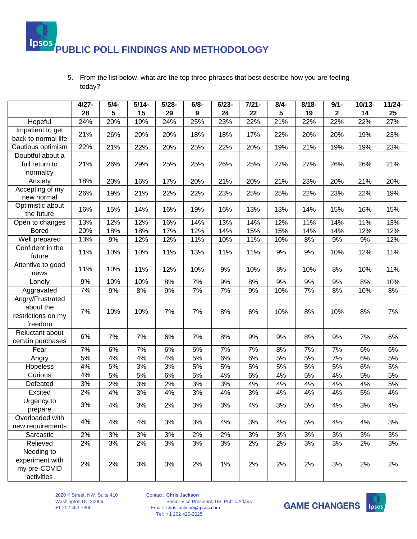5. From the list below, what are the top three phrases that best describe how you are feeling today?

|                                                                | $4/27 -$<br>28 | $5/4 -$<br>5 | $5/14-$<br>15 | $5/28 -$<br>29 | $6/8 -$<br>$\boldsymbol{9}$ | $6/23 -$<br>24 | $7/21 -$<br>22 | $8/4 -$<br>5 | $8/18 -$<br>19 | $9/1 -$<br>$\mathbf{2}$ | $10/13 -$<br>14 | 11/24-<br>25 |
|----------------------------------------------------------------|----------------|--------------|---------------|----------------|-----------------------------|----------------|----------------|--------------|----------------|-------------------------|-----------------|--------------|
| Hopeful                                                        | 24%            | 20%          | 19%           | 24%            | 25%                         | 23%            | 22%            | 21%          | 22%            | 22%                     | 22%             | 27%          |
| Impatient to get<br>back to normal life                        | 21%            | 26%          | 20%           | 20%            | 18%                         | 18%            | 17%            | 22%          | 20%            | 20%                     | 19%             | 23%          |
| Cautious optimism                                              | 22%            | 21%          | 22%           | 20%            | 25%                         | 22%            | 20%            | 19%          | 21%            | 19%                     | 19%             | 23%          |
| Doubtful about a                                               |                |              |               |                |                             |                |                |              |                |                         |                 |              |
| full return to<br>normalcy                                     | 21%            | 26%          | 29%           | 25%            | 25%                         | 26%            | 25%            | 27%          | 27%            | 26%                     | 26%             | 21%          |
| Anxiety                                                        | 18%            | 20%          | 16%           | 17%            | 20%                         | 21%            | 20%            | 21%          | 23%            | 20%                     | 21%             | 20%          |
| Accepting of my<br>new normal                                  | 26%            | 19%          | 21%           | 22%            | 22%                         | 23%            | 25%            | 25%          | 22%            | 23%                     | 22%             | 19%          |
| Optimistic about<br>the future                                 | 16%            | 15%          | 14%           | 16%            | 19%                         | 16%            | 13%            | 13%          | 14%            | 15%                     | 16%             | 15%          |
| Open to changes                                                | 13%            | 12%          | 12%           | 16%            | 14%                         | 13%            | 14%            | 12%          | 11%            | 14%                     | 11%             | 13%          |
| <b>Bored</b>                                                   | 20%            | 18%          | 18%           | 17%            | 12%                         | 14%            | 15%            | 15%          | 14%            | 14%                     | 12%             | 12%          |
| Well prepared                                                  | 13%            | 9%           | 12%           | 12%            | 11%                         | 10%            | 11%            | 10%          | 8%             | 9%                      | 9%              | 12%          |
| Confident in the<br>future                                     | 11%            | 10%          | 10%           | 11%            | 13%                         | 11%            | 11%            | 9%           | 9%             | 10%                     | 12%             | 11%          |
| Attentive to good<br>news                                      | 11%            | 10%          | 11%           | 12%            | 10%                         | 9%             | 10%            | 8%           | 10%            | 8%                      | 10%             | 11%          |
| Lonely                                                         | 9%             | 10%          | 10%           | 8%             | 7%                          | 9%             | 8%             | 9%           | 9%             | 9%                      | 8%              | 10%          |
| Aggravated                                                     | 7%             | 9%           | 8%            | 9%             | 7%                          | 7%             | 9%             | 10%          | 7%             | 8%                      | 10%             | 8%           |
| Angry/Frustrated<br>about the<br>restrictions on my<br>freedom | 7%             | 10%          | 10%           | 7%             | 7%                          | 8%             | 6%             | 10%          | 8%             | 10%                     | 8%              | 7%           |
| Reluctant about<br>certain purchases                           | 6%             | 7%           | 7%            | 6%             | 7%                          | 8%             | 9%             | 9%           | 8%             | 9%                      | 7%              | 6%           |
| Fear                                                           | 7%             | 6%           | 7%            | 6%             | 6%                          | 7%             | 7%             | 8%           | 7%             | 7%                      | 6%              | 6%           |
| Angry                                                          | 5%             | 4%           | 4%            | 4%             | 5%                          | 6%             | 6%             | 5%           | 5%             | 7%                      | 6%              | 5%           |
| Hopeless                                                       | 4%             | 5%           | 3%            | 3%             | 5%                          | 5%             | 5%             | 5%           | 5%             | 5%                      | 6%              | 5%           |
| Curious                                                        | 4%             | 5%           | 5%            | 6%             | 5%                          | 4%             | 6%             | 4%           | 5%             | 4%                      | 5%              | 5%           |
| Defeated                                                       | 3%             | 2%           | 3%            | 2%             | 3%                          | 3%             | 4%             | 4%           | 4%             | 4%                      | 4%              | 5%           |
| Excited                                                        | 2%             | 4%           | 3%            | 4%             | 3%                          | 4%             | 3%             | 4%           | 4%             | 4%                      | 5%              | 4%           |
| Urgency to<br>prepare                                          | 3%             | 4%           | 3%            | 2%             | 3%                          | 3%             | 4%             | 3%           | 5%             | 4%                      | 3%              | 4%           |
| Overloaded with<br>new requirements                            | 4%             | 4%           | 4%            | 3%             | 3%                          | 4%             | 3%             | 4%           | 5%             | 4%                      | 4%              | 3%           |
| Sarcastic                                                      | 2%             | 3%           | 3%            | 3%             | 2%                          | 2%             | 3%             | 3%           | 3%             | 3%                      | 3%              | 3%           |
| Relieved                                                       | 2%             | 3%           | 2%            | 3%             | 3%                          | $3%$           | 2%             | 2%           | $3%$           | $3%$                    | 2%              | 3%           |
| Needing to<br>experiment with<br>my pre-COVID<br>activities    | 2%             | 2%           | 3%            | 3%             | 2%                          | 1%             | 2%             | 2%           | 2%             | $3%$                    | 2%              | 2%           |

2020 K Street, NW, Suite 410 Washington DC 20006 +1 202 463-7300

Contact: **Chris Jackson**

Email: [chris.jackson@ipsos.com](mailto:chris.jackson@ipsos.com) Senior Vice President, US, Public Affairs

Tel: +1 202 420-2025



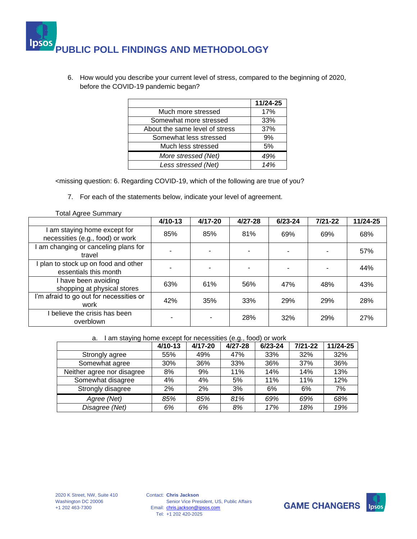

6. How would you describe your current level of stress, compared to the beginning of 2020, before the COVID-19 pandemic began?

|                                | 11/24-25 |
|--------------------------------|----------|
| Much more stressed             | 17%      |
| Somewhat more stressed         | 33%      |
| About the same level of stress | 37%      |
| Somewhat less stressed         | 9%       |
| Much less stressed             | 5%       |
| More stressed (Net)            | 49%      |
| Less stressed (Net)            | 14%      |

<missing question: 6. Regarding COVID-19, which of the following are true of you?

7. For each of the statements below, indicate your level of agreement.

Total Agree Summary

|                                                                | $4/10-13$ | $4/17 - 20$ | $4/27 - 28$ | $6/23 - 24$ | $7/21 - 22$ | 11/24-25 |
|----------------------------------------------------------------|-----------|-------------|-------------|-------------|-------------|----------|
| am staying home except for<br>necessities (e.g., food) or work | 85%       | 85%         | 81%         | 69%         | 69%         | 68%      |
| am changing or canceling plans for<br>travel                   |           |             |             |             |             | 57%      |
| I plan to stock up on food and other<br>essentials this month  |           |             |             |             |             | 44%      |
| I have been avoiding<br>shopping at physical stores            | 63%       | 61%         | 56%         | 47%         | 48%         | 43%      |
| I'm afraid to go out for necessities or<br>work                | 42%       | 35%         | 33%         | 29%         | 29%         | 28%      |
| believe the crisis has been<br>overblown                       |           |             | 28%         | 32%         | 29%         | 27%      |

| I am staying home except for necessities (e.g., food) or work |  |  |
|---------------------------------------------------------------|--|--|
|                                                               |  |  |

| - -                        |           |         | <u>.</u> |             |             |          |
|----------------------------|-----------|---------|----------|-------------|-------------|----------|
|                            | $4/10-13$ | 4/17-20 | 4/27-28  | $6/23 - 24$ | $7/21 - 22$ | 11/24-25 |
| Strongly agree             | 55%       | 49%     | 47%      | 33%         | 32%         | 32%      |
| Somewhat agree             | 30%       | 36%     | 33%      | 36%         | 37%         | 36%      |
| Neither agree nor disagree | 8%        | 9%      | 11%      | 14%         | 14%         | 13%      |
| Somewhat disagree          | 4%        | 4%      | 5%       | 11%         | 11%         | 12%      |
| Strongly disagree          | 2%        | 2%      | 3%       | 6%          | 6%          | 7%       |
| Agree (Net)                | 85%       | 85%     | 81%      | 69%         | 69%         | 68%      |
| Disagree (Net)             | 6%        | 6%      | 8%       | 17%         | 18%         | 19%      |

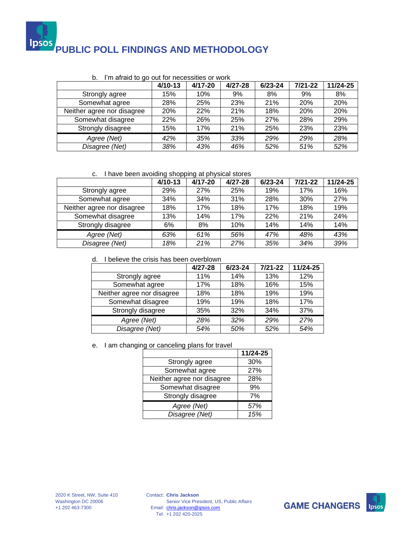

#### b. I'm afraid to go out for necessities or work

| ີ                          |           |             |             |             |             |          |
|----------------------------|-----------|-------------|-------------|-------------|-------------|----------|
|                            | $4/10-13$ | $4/17 - 20$ | $4/27 - 28$ | $6/23 - 24$ | $7/21 - 22$ | 11/24-25 |
| Strongly agree             | 15%       | 10%         | 9%          | 8%          | 9%          | 8%       |
| Somewhat agree             | 28%       | 25%         | 23%         | 21%         | 20%         | 20%      |
| Neither agree nor disagree | 20%       | 22%         | 21%         | 18%         | 20%         | 20%      |
| Somewhat disagree          | 22%       | 26%         | 25%         | 27%         | 28%         | 29%      |
| Strongly disagree          | 15%       | 17%         | 21%         | 25%         | 23%         | 23%      |
| Agree (Net)                | 42%       | 35%         | 33%         | 29%         | 29%         | 28%      |
| Disagree (Net)             | 38%       | 43%         | 46%         | 52%         | 51%         | 52%      |

#### c. I have been avoiding shopping at physical stores

|                            | $4/10-13$ | $4/17 - 20$ | $4/27 - 28$ | $6/23 - 24$ | $7/21 - 22$ | 11/24-25 |
|----------------------------|-----------|-------------|-------------|-------------|-------------|----------|
| Strongly agree             | 29%       | <b>27%</b>  | 25%         | 19%         | 17%         | 16%      |
| Somewhat agree             | 34%       | 34%         | 31%         | 28%         | 30%         | 27%      |
| Neither agree nor disagree | 18%       | 17%         | 18%         | 17%         | 18%         | 19%      |
| Somewhat disagree          | 13%       | 14%         | 17%         | <b>22%</b>  | 21%         | 24%      |
| Strongly disagree          | 6%        | 8%          | 10%         | 14%         | 14%         | 14%      |
| Agree (Net)                | 63%       | 61%         | 56%         | 47%         | 48%         | 43%      |
| Disagree (Net)             | 18%       | 21%         | 27%         | 35%         | 34%         | 39%      |

d. I believe the crisis has been overblown

|                            | $4/27 - 28$ | $6/23 - 24$ | $7/21 - 22$ | 11/24-25 |
|----------------------------|-------------|-------------|-------------|----------|
| Strongly agree             | 11%         | 14%         | 13%         | 12%      |
| Somewhat agree             | 17%         | 18%         | 16%         | 15%      |
| Neither agree nor disagree | 18%         | 18%         | 19%         | 19%      |
| Somewhat disagree          | 19%         | 19%         | 18%         | 17%      |
| Strongly disagree          | 35%         | 32%         | 34%         | 37%      |
| Agree (Net)                | 28%         | 32%         | 29%         | 27%      |
| Disagree (Net)             | 54%         | 50%         | 52%         | 54%      |

e. I am changing or canceling plans for travel

|                            | 11/24-25 |
|----------------------------|----------|
| Strongly agree             | 30%      |
| Somewhat agree             | 27%      |
| Neither agree nor disagree | 28%      |
| Somewhat disagree          | 9%       |
| Strongly disagree          | 7%       |
| Agree (Net)                | 57%      |
| Disagree (Net)             | 15%      |
|                            |          |

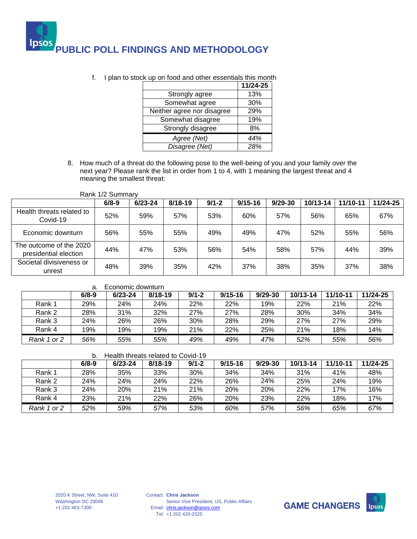|                            | 11/24-25 |
|----------------------------|----------|
| Strongly agree             | 13%      |
| Somewhat agree             | 30%      |
| Neither agree nor disagree | 29%      |
| Somewhat disagree          | 19%      |
| Strongly disagree          | 8%       |
| Agree (Net)                | 44%      |
| Disagree (Net)             | 28%      |

f. I plan to stock up on food and other essentials this month

8. How much of a threat do the following pose to the well-being of you and your family over the next year? Please rank the list in order from 1 to 4, with 1 meaning the largest threat and 4 meaning the smallest threat:

Rank 1/2 Summary

|                                                  | $6/8 - 9$ | $6/23 - 24$ | $8/18-19$ | $9/1 - 2$ | $9/15 - 16$ | $9/29 - 30$ | 10/13-14 | 11/10-11 | 11/24-25 |
|--------------------------------------------------|-----------|-------------|-----------|-----------|-------------|-------------|----------|----------|----------|
| Health threats related to<br>Covid-19            | 52%       | 59%         | 57%       | 53%       | 60%         | 57%         | 56%      | 65%      | 67%      |
| Economic downturn                                | 56%       | 55%         | 55%       | 49%       | 49%         | 47%         | 52%      | 55%      | 56%      |
| The outcome of the 2020<br>presidential election | 44%       | 47%         | 53%       | 56%       | 54%         | 58%         | 57%      | 44%      | 39%      |
| Societal divisiveness or<br>unrest               | 48%       | 39%         | 35%       | 42%       | 37%         | 38%         | 35%      | 37%      | 38%      |

#### a. Economic downturn

|             | $6/8-9$ | $6/23 - 24$ | $8/18 - 19$ | $9/1 - 2$ | $9/15 - 16$ | $9/29 - 30$ | 10/13-14 | 11/10-11 | 11/24-25 |
|-------------|---------|-------------|-------------|-----------|-------------|-------------|----------|----------|----------|
| Rank 1      | 29%     | 24%         | 24%         | 22%       | 22%         | 19%         | 22%      | 21%      | 22%      |
| Rank 2      | 28%     | 31%         | 32%         | 27%       | 27%         | 28%         | 30%      | 34%      | 34%      |
| Rank 3      | 24%     | 26%         | 26%         | 30%       | 28%         | 29%         | 27%      | 27%      | 29%      |
| Rank 4      | 19%     | 19%         | 19%         | 21%       | 22%         | 25%         | 21%      | 18%      | 14%      |
| Rank 1 or 2 | 56%     | 55%         | 55%         | 49%       | 49%         | 47%         | 52%      | 55%      | 56%      |

### b. Health threats related to Covid-19

|             | $6/8 - 9$ | $6/23 - 24$ | $8/18 - 19$ | $9/1 - 2$ | $9/15 - 16$ | $9/29-30$ | 10/13-14 | 11/10-11 | 11/24-25 |
|-------------|-----------|-------------|-------------|-----------|-------------|-----------|----------|----------|----------|
| Rank 1      | 28%       | 35%         | 33%         | 30%       | 34%         | 34%       | 31%      | 41%      | 48%      |
| Rank 2      | 24%       | 24%         | 24%         | 22%       | 26%         | 24%       | 25%      | 24%      | 19%      |
| Rank 3      | 24%       | 20%         | 21%         | 21%       | 20%         | 20%       | 22%      | 17%      | 16%      |
| Rank 4      | 23%       | 21%         | 22%         | 26%       | 20%         | 23%       | 22%      | 18%      | 17%      |
| Rank 1 or 2 | 52%       | 59%         | 57%         | 53%       | 60%         | 57%       | 56%      | 65%      | 67%      |

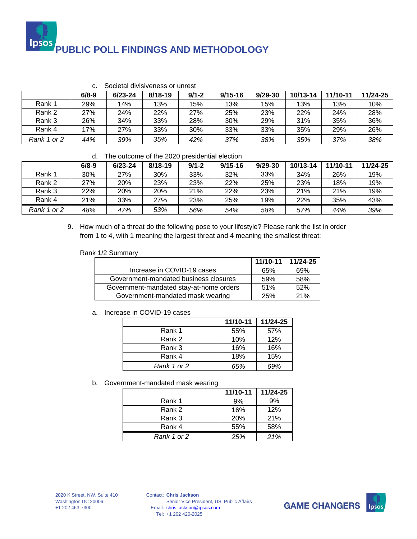| Societal divisiveness or unrest |         |             |           |           |             |             |          |          |          |
|---------------------------------|---------|-------------|-----------|-----------|-------------|-------------|----------|----------|----------|
|                                 | $6/8-9$ | $6/23 - 24$ | $8/18-19$ | $9/1 - 2$ | $9/15 - 16$ | $9/29 - 30$ | 10/13-14 | 11/10-11 | 11/24-25 |
| Rank 1                          | 29%     | 14%         | 13%       | 15%       | 13%         | 15%         | 13%      | 13%      | 10%      |
| Rank 2                          | 27%     | 24%         | 22%       | 27%       | 25%         | 23%         | 22%      | 24%      | 28%      |
| Rank 3                          | 26%     | 34%         | 33%       | 28%       | 30%         | 29%         | 31%      | 35%      | 36%      |

#### c. Societal divisiveness or unrest

#### d. The outcome of the 2020 presidential election

|             | $6/8 - 9$ | $6/23 - 24$ | $8/18 - 19$ | $9/1 - 2$ | $9/15 - 16$ | $9/29-30$ | 10/13-14 | 11/10-11 | 11/24-25 |
|-------------|-----------|-------------|-------------|-----------|-------------|-----------|----------|----------|----------|
| Rank 1      | 30%       | 27%         | 30%         | 33%       | 32%         | 33%       | 34%      | 26%      | 19%      |
| Rank 2      | 27%       | 20%         | 23%         | 23%       | 22%         | 25%       | 23%      | 18%      | 19%      |
| Rank 3      | 22%       | 20%         | 20%         | 21%       | 22%         | 23%       | 21%      | 21%      | 19%      |
| Rank 4      | 21%       | 33%         | 27%         | 23%       | 25%         | 19%       | 22%      | 35%      | 43%      |
| Rank 1 or 2 | 48%       | 47%         | 53%         | 56%       | 54%         | 58%       | 57%      | 44%      | 39%      |

Rank 4 | 17% | 27% | 33% | 30% | 33% | 33% | 35% | 29% | 26% *Rank 1 or 2 44% 39% 35% 42% 37% 38% 35% 37% 38%*

> 9. How much of a threat do the following pose to your lifestyle? Please rank the list in order from 1 to 4, with 1 meaning the largest threat and 4 meaning the smallest threat:

#### Rank 1/2 Summary

|                                         | 11/10-11 | 11/24-25 |
|-----------------------------------------|----------|----------|
| Increase in COVID-19 cases              | 65%      | 69%      |
| Government-mandated business closures   | .59%     | 58%      |
| Government-mandated stay-at-home orders | 51%      | 52%      |
| Government-mandated mask wearing        | 25%      | 21%      |

#### a. Increase in COVID-19 cases

|             | 11/10-11 | 11/24-25 |
|-------------|----------|----------|
| Rank 1      | 55%      | 57%      |
| Rank 2      | 10%      | 12%      |
| Rank 3      | 16%      | 16%      |
| Rank 4      | 18%      | 15%      |
| Rank 1 or 2 | 65%      | 69%      |

#### b. Government-mandated mask wearing

|             | 11/10-11 | 11/24-25 |
|-------------|----------|----------|
| Rank 1      | 9%       | 9%       |
| Rank 2      | 16%      | 12%      |
| Rank 3      | 20%      | 21%      |
| Rank 4      | 55%      | 58%      |
| Rank 1 or 2 | 25%      | 21%      |

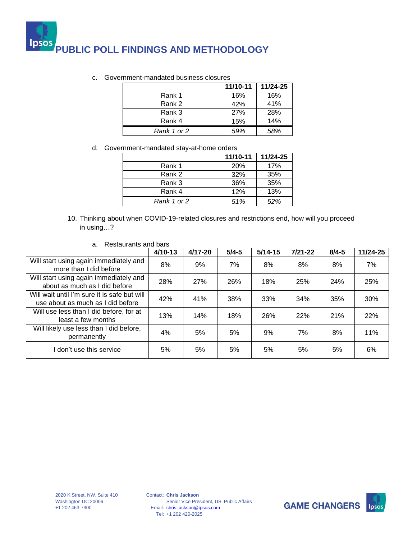|             | 11/10-11 | 11/24-25 |
|-------------|----------|----------|
| Rank 1      | 16%      | 16%      |
| Rank 2      | 42%      | 41%      |
| Rank 3      | 27%      | 28%      |
| Rank 4      | 15%      | 14%      |
| Rank 1 or 2 | 59%      | 58%      |

d. Government-mandated stay-at-home orders

|             | 11/10-11   | 11/24-25 |
|-------------|------------|----------|
| Rank 1      | <b>20%</b> | 17%      |
| Rank 2      | 32%        | 35%      |
| Rank 3      | 36%        | 35%      |
| Rank 4      | 12%        | 13%      |
| Rank 1 or 2 | 51%        | 52%      |

10. Thinking about when COVID-19-related closures and restrictions end, how will you proceed in using…?

|                                                                                   | $4/10 - 13$ | 4/17-20    | $5/4 - 5$ | $5/14 - 15$ | $7/21 - 22$ | $8/4 - 5$ | 11/24-25 |
|-----------------------------------------------------------------------------------|-------------|------------|-----------|-------------|-------------|-----------|----------|
| Will start using again immediately and<br>more than I did before                  | 8%          | 9%         | 7%        | 8%          | 8%          | 8%        | 7%       |
| Will start using again immediately and<br>about as much as I did before           | 28%         | <b>27%</b> | 26%       | 18%         | 25%         | 24%       | 25%      |
| Will wait until I'm sure it is safe but will<br>use about as much as I did before | 42%         | 41%        | 38%       | 33%         | 34%         | 35%       | 30%      |
| Will use less than I did before, for at<br>least a few months                     | 13%         | 14%        | 18%       | 26%         | 22%         | 21%       | 22%      |
| Will likely use less than I did before,<br>permanently                            | 4%          | 5%         | 5%        | 9%          | 7%          | 8%        | 11%      |
| l don't use this service                                                          | 5%          | 5%         | 5%        | 5%          | 5%          | 5%        | 6%       |

a. Restaurants and bars

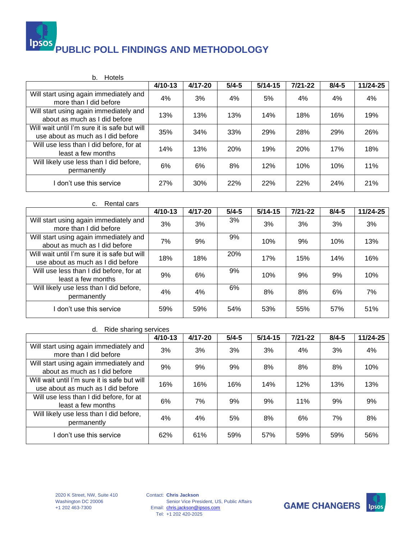| <b>Hotels</b><br>b.                                                               |           |         |           |             |             |           |          |
|-----------------------------------------------------------------------------------|-----------|---------|-----------|-------------|-------------|-----------|----------|
|                                                                                   | $4/10-13$ | 4/17-20 | $5/4 - 5$ | $5/14 - 15$ | $7/21 - 22$ | $8/4 - 5$ | 11/24-25 |
| Will start using again immediately and<br>more than I did before                  | 4%        | 3%      | 4%        | 5%          | 4%          | 4%        | 4%       |
| Will start using again immediately and<br>about as much as I did before           | 13%       | 13%     | 13%       | 14%         | 18%         | 16%       | 19%      |
| Will wait until I'm sure it is safe but will<br>use about as much as I did before | 35%       | 34%     | 33%       | 29%         | 28%         | 29%       | 26%      |
| Will use less than I did before, for at<br>least a few months                     | 14%       | 13%     | 20%       | 19%         | 20%         | 17%       | 18%      |
| Will likely use less than I did before,<br>permanently                            | 6%        | 6%      | 8%        | 12%         | 10%         | 10%       | 11%      |
| don't use this service                                                            | 27%       | 30%     | 22%       | 22%         | 22%         | 24%       | 21%      |

| <b>Rental cars</b><br>C.                                                          |           |             |           |             |             |           |          |
|-----------------------------------------------------------------------------------|-----------|-------------|-----------|-------------|-------------|-----------|----------|
|                                                                                   | $4/10-13$ | $4/17 - 20$ | $5/4 - 5$ | $5/14 - 15$ | $7/21 - 22$ | $8/4 - 5$ | 11/24-25 |
| Will start using again immediately and<br>more than I did before                  | 3%        | 3%          | 3%        | 3%          | 3%          | 3%        | 3%       |
| Will start using again immediately and<br>about as much as I did before           | 7%        | 9%          | 9%        | 10%         | 9%          | 10%       | 13%      |
| Will wait until I'm sure it is safe but will<br>use about as much as I did before | 18%       | 18%         | 20%       | 17%         | 15%         | 14%       | 16%      |
| Will use less than I did before, for at<br>least a few months                     | 9%        | 6%          | 9%        | 10%         | 9%          | 9%        | 10%      |
| Will likely use less than I did before,<br>permanently                            | 4%        | 4%          | 6%        | 8%          | 8%          | 6%        | 7%       |
| don't use this service                                                            | 59%       | 59%         | 54%       | 53%         | 55%         | 57%       | 51%      |

| Ride sharing services<br>d.                                                       |           |             |           |             |             |           |          |
|-----------------------------------------------------------------------------------|-----------|-------------|-----------|-------------|-------------|-----------|----------|
|                                                                                   | $4/10-13$ | $4/17 - 20$ | $5/4 - 5$ | $5/14 - 15$ | $7/21 - 22$ | $8/4 - 5$ | 11/24-25 |
| Will start using again immediately and<br>more than I did before                  | 3%        | 3%          | 3%        | 3%          | 4%          | 3%        | 4%       |
| Will start using again immediately and<br>about as much as I did before           | 9%        | 9%          | 9%        | 8%          | 8%          | 8%        | 10%      |
| Will wait until I'm sure it is safe but will<br>use about as much as I did before | 16%       | 16%         | 16%       | 14%         | 12%         | 13%       | 13%      |
| Will use less than I did before, for at<br>least a few months                     | 6%        | 7%          | 9%        | 9%          | 11%         | 9%        | 9%       |
| Will likely use less than I did before,<br>permanently                            | 4%        | 4%          | 5%        | 8%          | 6%          | 7%        | 8%       |
| l don't use this service                                                          | 62%       | 61%         | 59%       | 57%         | 59%         | 59%       | 56%      |

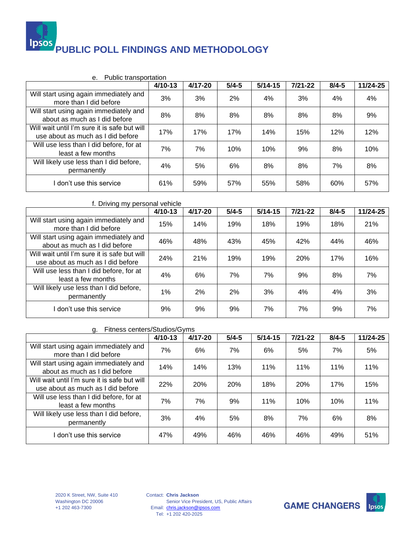

| Public transportation<br>е.                                                       |           |             |           |             |             |           |          |
|-----------------------------------------------------------------------------------|-----------|-------------|-----------|-------------|-------------|-----------|----------|
|                                                                                   | $4/10-13$ | $4/17 - 20$ | $5/4 - 5$ | $5/14 - 15$ | $7/21 - 22$ | $8/4 - 5$ | 11/24-25 |
| Will start using again immediately and<br>more than I did before                  | 3%        | 3%          | 2%        | 4%          | 3%          | 4%        | 4%       |
| Will start using again immediately and<br>about as much as I did before           | 8%        | 8%          | 8%        | 8%          | 8%          | 8%        | 9%       |
| Will wait until I'm sure it is safe but will<br>use about as much as I did before | 17%       | 17%         | 17%       | 14%         | 15%         | 12%       | 12%      |
| Will use less than I did before, for at<br>least a few months                     | 7%        | 7%          | 10%       | 10%         | 9%          | 8%        | 10%      |
| Will likely use less than I did before,<br>permanently                            | 4%        | 5%          | 6%        | 8%          | 8%          | 7%        | 8%       |
| I don't use this service                                                          | 61%       | 59%         | 57%       | 55%         | 58%         | 60%       | 57%      |

| f. Driving my personal vehicle                                                    |           |             |           |           |             |           |          |  |
|-----------------------------------------------------------------------------------|-----------|-------------|-----------|-----------|-------------|-----------|----------|--|
|                                                                                   | $4/10-13$ | $4/17 - 20$ | $5/4 - 5$ | $5/14-15$ | $7/21 - 22$ | $8/4 - 5$ | 11/24-25 |  |
| Will start using again immediately and<br>more than I did before                  | 15%       | 14%         | 19%       | 18%       | 19%         | 18%       | 21%      |  |
| Will start using again immediately and<br>about as much as I did before           | 46%       | 48%         | 43%       | 45%       | 42%         | 44%       | 46%      |  |
| Will wait until I'm sure it is safe but will<br>use about as much as I did before | 24%       | 21%         | 19%       | 19%       | 20%         | 17%       | 16%      |  |
| Will use less than I did before, for at<br>least a few months                     | 4%        | 6%          | 7%        | 7%        | 9%          | 8%        | 7%       |  |
| Will likely use less than I did before,<br>permanently                            | 1%        | 2%          | 2%        | 3%        | 4%          | 4%        | 3%       |  |
| don't use this service                                                            | 9%        | 9%          | 9%        | 7%        | 7%          | 9%        | 7%       |  |

### g. Fitness centers/Studios/Gyms

| $\sim$                                                                            | $4/10 - 13$ | 4/17-20 | $5/4 - 5$ | $5/14 - 15$ | $7/21 - 22$ | $8/4 - 5$ | 11/24-25 |
|-----------------------------------------------------------------------------------|-------------|---------|-----------|-------------|-------------|-----------|----------|
| Will start using again immediately and<br>more than I did before                  | 7%          | 6%      | 7%        | 6%          | 5%          | 7%        | 5%       |
| Will start using again immediately and<br>about as much as I did before           | 14%         | 14%     | 13%       | 11%         | 11%         | 11%       | 11%      |
| Will wait until I'm sure it is safe but will<br>use about as much as I did before | 22%         | 20%     | 20%       | 18%         | 20%         | 17%       | 15%      |
| Will use less than I did before, for at<br>least a few months                     | 7%          | 7%      | 9%        | 11%         | 10%         | 10%       | 11%      |
| Will likely use less than I did before,<br>permanently                            | 3%          | 4%      | 5%        | 8%          | 7%          | 6%        | 8%       |
| don't use this service                                                            | 47%         | 49%     | 46%       | 46%         | 46%         | 49%       | 51%      |

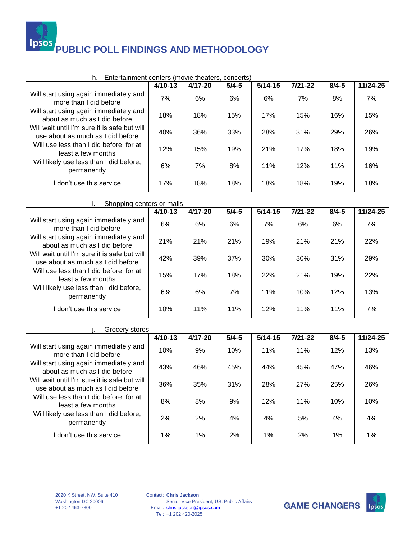

| Entertainment centers (movie theaters, concerts)<br>h.                            |           |             |           |             |             |           |          |  |  |
|-----------------------------------------------------------------------------------|-----------|-------------|-----------|-------------|-------------|-----------|----------|--|--|
|                                                                                   | $4/10-13$ | $4/17 - 20$ | $5/4 - 5$ | $5/14 - 15$ | $7/21 - 22$ | $8/4 - 5$ | 11/24-25 |  |  |
| Will start using again immediately and<br>more than I did before                  | 7%        | 6%          | 6%        | 6%          | 7%          | 8%        | 7%       |  |  |
| Will start using again immediately and<br>about as much as I did before           | 18%       | 18%         | 15%       | 17%         | 15%         | 16%       | 15%      |  |  |
| Will wait until I'm sure it is safe but will<br>use about as much as I did before | 40%       | 36%         | 33%       | 28%         | 31%         | 29%       | 26%      |  |  |
| Will use less than I did before, for at<br>least a few months                     | 12%       | 15%         | 19%       | 21%         | 17%         | 18%       | 19%      |  |  |
| Will likely use less than I did before,<br>permanently                            | 6%        | 7%          | 8%        | 11%         | 12%         | 11%       | 16%      |  |  |
| don't use this service                                                            | 17%       | 18%         | 18%       | 18%         | 18%         | 19%       | 18%      |  |  |

| Shopping centers or malls                                                         |           |             |           |             |             |           |          |  |
|-----------------------------------------------------------------------------------|-----------|-------------|-----------|-------------|-------------|-----------|----------|--|
|                                                                                   | $4/10-13$ | $4/17 - 20$ | $5/4 - 5$ | $5/14 - 15$ | $7/21 - 22$ | $8/4 - 5$ | 11/24-25 |  |
| Will start using again immediately and<br>more than I did before                  | 6%        | 6%          | 6%        | 7%          | 6%          | 6%        | 7%       |  |
| Will start using again immediately and<br>about as much as I did before           | 21%       | 21%         | 21%       | 19%         | 21%         | 21%       | 22%      |  |
| Will wait until I'm sure it is safe but will<br>use about as much as I did before | 42%       | 39%         | 37%       | 30%         | 30%         | 31%       | 29%      |  |
| Will use less than I did before, for at<br>least a few months                     | 15%       | 17%         | 18%       | 22%         | 21%         | 19%       | 22%      |  |
| Will likely use less than I did before,<br>permanently                            | 6%        | 6%          | 7%        | 11%         | 10%         | 12%       | 13%      |  |
| don't use this service                                                            | 10%       | 11%         | 11%       | 12%         | 11%         | 11%       | 7%       |  |

| Grocery stores                                                                    |           |             |           |             |             |           |          |
|-----------------------------------------------------------------------------------|-----------|-------------|-----------|-------------|-------------|-----------|----------|
|                                                                                   | $4/10-13$ | $4/17 - 20$ | $5/4 - 5$ | $5/14 - 15$ | $7/21 - 22$ | $8/4 - 5$ | 11/24-25 |
| Will start using again immediately and<br>more than I did before                  | 10%       | 9%          | 10%       | 11%         | 11%         | 12%       | 13%      |
| Will start using again immediately and<br>about as much as I did before           | 43%       | 46%         | 45%       | 44%         | 45%         | 47%       | 46%      |
| Will wait until I'm sure it is safe but will<br>use about as much as I did before | 36%       | 35%         | 31%       | 28%         | 27%         | 25%       | 26%      |
| Will use less than I did before, for at<br>least a few months                     | 8%        | 8%          | 9%        | 12%         | 11%         | 10%       | 10%      |
| Will likely use less than I did before,<br>permanently                            | 2%        | 2%          | 4%        | 4%          | 5%          | 4%        | 4%       |
| don't use this service                                                            | 1%        | 1%          | 2%        | 1%          | 2%          | 1%        | 1%       |

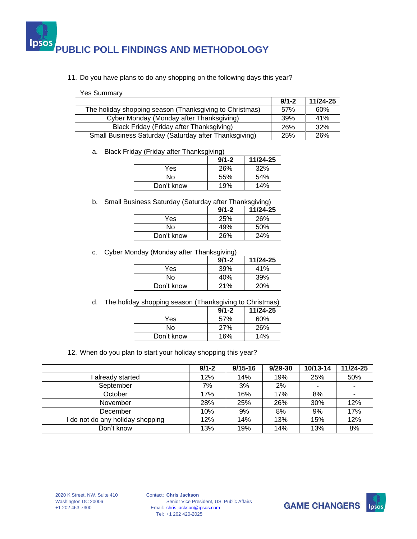

#### 11. Do you have plans to do any shopping on the following days this year?

Yes Summary

|                                                         | $9/1 - 2$ | 11/24-25 |
|---------------------------------------------------------|-----------|----------|
| The holiday shopping season (Thanksgiving to Christmas) | 57%       | 60%      |
| Cyber Monday (Monday after Thanksgiving)                | 39%       | 41%      |
| Black Friday (Friday after Thanksgiving)                | 26%       | 32%      |
| Small Business Saturday (Saturday after Thanksgiving)   | 25%       | 26%      |

a. Black Friday (Friday after Thanksgiving)

|            | $9/1 - 2$ | 11/24-25 |
|------------|-----------|----------|
| Yes        | 26%       | 32%      |
| N٥         | 55%       | 54%      |
| Don't know | 19%       | 14%      |

b. Small Business Saturday (Saturday after Thanksgiving)

|            | $9/1 - 2$ | 11/24-25 |
|------------|-----------|----------|
| Yes        | 25%       | 26%      |
| Nο         | 49%       | 50%      |
| Don't know | 26%       | 24%      |

c. Cyber Monday (Monday after Thanksgiving)

|            | $9/1 - 2$ | 11/24-25   |
|------------|-----------|------------|
| Yes        | 39%       | 41%        |
| N٥         | 40%       | 39%        |
| Don't know | 21%       | <b>20%</b> |

d. The holiday shopping season (Thanksgiving to Christmas)

|            | $9/1 - 2$ | 11/24-25 |
|------------|-----------|----------|
| Yes        | 57%       | 60%      |
| N٥         | 27%       | 26%      |
| Don't know | 16%       | 14%      |

12. When do you plan to start your holiday shopping this year?

|                                | $9/1 - 2$ | $9/15 - 16$ | $9/29-30$ | 10/13-14       | 11/24-25                 |
|--------------------------------|-----------|-------------|-----------|----------------|--------------------------|
| already started                | 12%       | 14%         | 19%       | 25%            | 50%                      |
| September                      | 7%        | 3%          | 2%        | $\blacksquare$ | $\overline{\phantom{a}}$ |
| October                        | 17%       | 16%         | 17%       | 8%             | ۰                        |
| November                       | 28%       | 25%         | 26%       | 30%            | 12%                      |
| December                       | 10%       | 9%          | 8%        | 9%             | 17%                      |
| do not do any holiday shopping | 12%       | 14%         | 13%       | 15%            | 12%                      |
| Don't know                     | 13%       | 19%         | 14%       | 13%            | 8%                       |

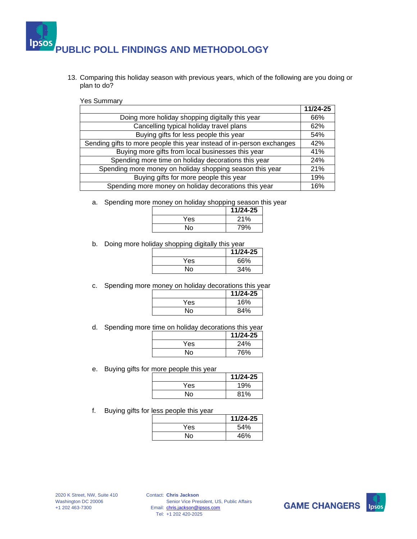

13. Comparing this holiday season with previous years, which of the following are you doing or plan to do?

Yes Summary

|                                                                       | 11/24-25   |
|-----------------------------------------------------------------------|------------|
| Doing more holiday shopping digitally this year                       | 66%        |
| Cancelling typical holiday travel plans                               | 62%        |
| Buying gifts for less people this year                                | 54%        |
| Sending gifts to more people this year instead of in-person exchanges |            |
| Buying more gifts from local businesses this year                     | 41%        |
| Spending more time on holiday decorations this year                   | <b>24%</b> |
| Spending more money on holiday shopping season this year              | 21%        |
| Buying gifts for more people this year                                | 19%        |
| Spending more money on holiday decorations this year                  | 16%        |

a. Spending more money on holiday shopping season this year

|     | 11/24-25 |
|-----|----------|
| Yes | 21%      |
| No  | 79%      |

b. Doing more holiday shopping digitally this year

|     | 11/24-25 |
|-----|----------|
| Yes | 66%      |
| N٥  | 34%      |
|     |          |

c. Spending more money on holiday decorations this year

|     | 11/24-25 |
|-----|----------|
| Yes | 16%      |
| No  | 84%      |
|     |          |

d. Spending more time on holiday decorations this year

|     | 11/24-25 |
|-----|----------|
| Yes | 24%      |
| No. | 76%      |

e. Buying gifts for more people this year

|     | 11/24-25 |
|-----|----------|
| Yes | 19%      |
| No  | 81%      |

f. Buying gifts for less people this year

|     | 11/24-25 |
|-----|----------|
| Yes | 54%      |
| No  | 46%      |

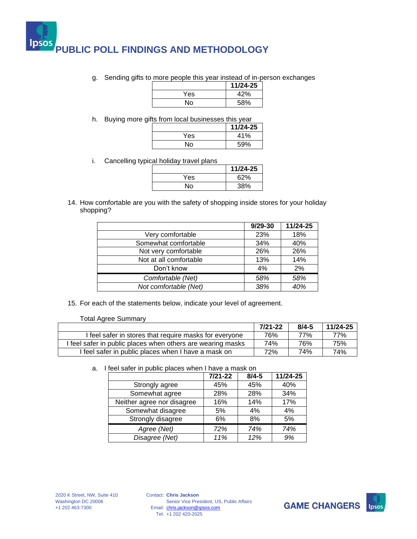

g. Sending gifts to more people this year instead of in-person exchanges

|     | 11/24-25 |
|-----|----------|
| Yes | 42%      |
| No. | 58%      |

h. Buying more gifts from local businesses this year

|     | 11/24-25 |
|-----|----------|
| Yes | 41%      |
| No  | 59%      |

i. Cancelling typical holiday travel plans

|     | 11/24-25 |
|-----|----------|
| Yes | 62%      |
| N٥  | 38%      |

14. How comfortable are you with the safety of shopping inside stores for your holiday shopping?

|                        | $9/29-30$ | 11/24-25 |
|------------------------|-----------|----------|
| Very comfortable       | 23%       | 18%      |
| Somewhat comfortable   | 34%       | 40%      |
| Not very comfortable   | 26%       | 26%      |
| Not at all comfortable | 13%       | 14%      |
| Don't know             | 4%        | 2%       |
| Comfortable (Net)      | 58%       | 58%      |
| Not comfortable (Net)  | 38%       | 40%      |

15. For each of the statements below, indicate your level of agreement.

Total Agree Summary

|                                                             | 7/21-22 | $8/4 - 5$ | 11/24-25 |
|-------------------------------------------------------------|---------|-----------|----------|
| I feel safer in stores that require masks for everyone      | 76%     | 77%       | 77%      |
| I feel safer in public places when others are wearing masks | 74%     | 76%       | 75%      |
| I feel safer in public places when I have a mask on         | 72%     | 74%       | 74%      |

a. I feel safer in public places when I have a mask on

|                            | $7/21 - 22$ | $8/4 - 5$ | 11/24-25 |
|----------------------------|-------------|-----------|----------|
| Strongly agree             | 45%         | 45%       | 40%      |
| Somewhat agree             | 28%         | 28%       | 34%      |
| Neither agree nor disagree | 16%         | 14%       | 17%      |
| Somewhat disagree          | 5%          | 4%        | 4%       |
| Strongly disagree          | 6%          | 8%        | 5%       |
| Agree (Net)                | 72%         | 74%       | 74%      |
| Disagree (Net)             | 11%         | 12%       | 9%       |

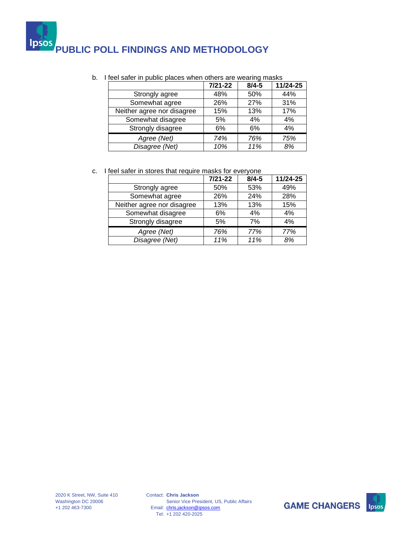b. I feel safer in public places when others are wearing masks

|                            | $7/21 - 22$ | $8/4 - 5$ | 11/24-25 |
|----------------------------|-------------|-----------|----------|
| Strongly agree             | 48%         | 50%       | 44%      |
| Somewhat agree             | 26%         | 27%       | 31%      |
| Neither agree nor disagree | 15%         | 13%       | 17%      |
| Somewhat disagree          | 5%          | 4%        | 4%       |
| Strongly disagree          | 6%          | 6%        | 4%       |
| Agree (Net)                | 74%         | 76%       | 75%      |
| Disagree (Net)             | 10%         | 11%       | 8%       |

c. I feel safer in stores that require masks for everyone

|                            | $7/21 - 22$ | $8/4 - 5$ | 11/24-25 |
|----------------------------|-------------|-----------|----------|
| Strongly agree             | 50%         | 53%       | 49%      |
| Somewhat agree             | 26%         | 24%       | 28%      |
| Neither agree nor disagree | 13%         | 13%       | 15%      |
| Somewhat disagree          | 6%          | 4%        | 4%       |
| Strongly disagree          | 5%          | 7%        | 4%       |
| Agree (Net)                | 76%         | 77%       | 77%      |
| Disagree (Net)             | 11%         | 11%       | 8%       |

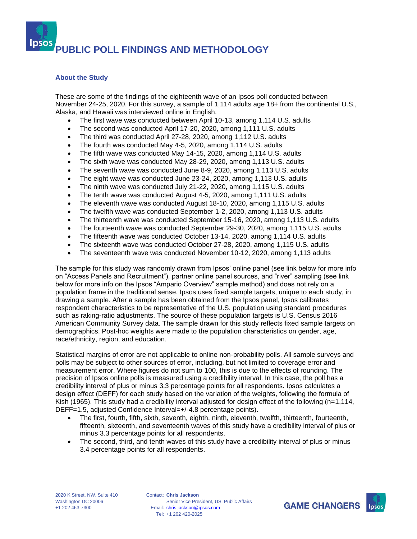### **About the Study**

These are some of the findings of the eighteenth wave of an Ipsos poll conducted between November 24-25, 2020. For this survey, a sample of 1,114 adults age 18+ from the continental U.S., Alaska, and Hawaii was interviewed online in English.

- The first wave was conducted between April 10-13, among 1,114 U.S. adults
- The second was conducted April 17-20, 2020, among 1,111 U.S. adults
- The third was conducted April 27-28, 2020, among 1,112 U.S. adults
- The fourth was conducted May 4-5, 2020, among 1,114 U.S. adults
- The fifth wave was conducted May 14-15, 2020, among 1,114 U.S. adults
- The sixth wave was conducted May 28-29, 2020, among 1,113 U.S. adults
- The seventh wave was conducted June 8-9, 2020, among 1,113 U.S. adults
- The eight wave was conducted June 23-24, 2020, among 1,113 U.S. adults
- The ninth wave was conducted July 21-22, 2020, among 1,115 U.S. adults
- The tenth wave was conducted August 4-5, 2020, among 1,111 U.S. adults
- The eleventh wave was conducted August 18-10, 2020, among 1,115 U.S. adults
- The twelfth wave was conducted September 1-2, 2020, among 1,113 U.S. adults
- The thirteenth wave was conducted September 15-16, 2020, among 1,113 U.S. adults
- The fourteenth wave was conducted September 29-30, 2020, among 1,115 U.S. adults
- The fifteenth wave was conducted October 13-14, 2020, among 1,114 U.S. adults
- The sixteenth wave was conducted October 27-28, 2020, among 1,115 U.S. adults
- The seventeenth wave was conducted November 10-12, 2020, among 1,113 adults

The sample for this study was randomly drawn from Ipsos' online panel (see link below for more info on "Access Panels and Recruitment"), partner online panel sources, and "river" sampling (see link below for more info on the Ipsos "Ampario Overview" sample method) and does not rely on a population frame in the traditional sense. Ipsos uses fixed sample targets, unique to each study, in drawing a sample. After a sample has been obtained from the Ipsos panel, Ipsos calibrates respondent characteristics to be representative of the U.S. population using standard procedures such as raking-ratio adjustments. The source of these population targets is U.S. Census 2016 American Community Survey data. The sample drawn for this study reflects fixed sample targets on demographics. Post-hoc weights were made to the population characteristics on gender, age, race/ethnicity, region, and education.

Statistical margins of error are not applicable to online non-probability polls. All sample surveys and polls may be subject to other sources of error, including, but not limited to coverage error and measurement error. Where figures do not sum to 100, this is due to the effects of rounding. The precision of Ipsos online polls is measured using a credibility interval. In this case, the poll has a credibility interval of plus or minus 3.3 percentage points for all respondents. Ipsos calculates a design effect (DEFF) for each study based on the variation of the weights, following the formula of Kish (1965). This study had a credibility interval adjusted for design effect of the following (n=1,114, DEFF=1.5, adjusted Confidence Interval=+/-4.8 percentage points).

- The first, fourth, fifth, sixth, seventh, eighth, ninth, eleventh, twelfth, thirteenth, fourteenth, fifteenth, sixteenth, and seventeenth waves of this study have a credibility interval of plus or minus 3.3 percentage points for all respondents.
- The second, third, and tenth waves of this study have a credibility interval of plus or minus 3.4 percentage points for all respondents.

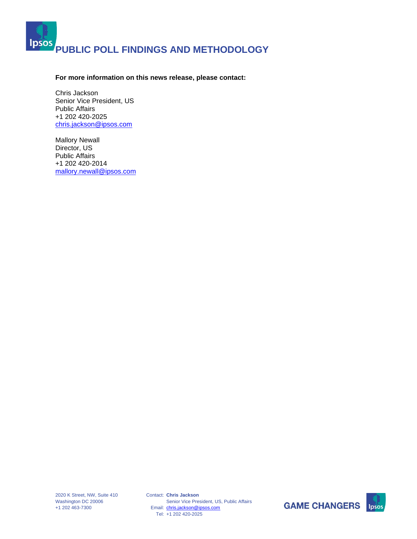

#### **For more information on this news release, please contact:**

Chris Jackson Senior Vice President, US Public Affairs +1 202 420-2025 [chris.jackson@ipsos.com](mailto:chris.jackson@ipsos.com)

Mallory Newall Director, US Public Affairs +1 202 420-2014 [mallory.newall@ipsos.com](mailto:mallory.newall@ipsos.com)